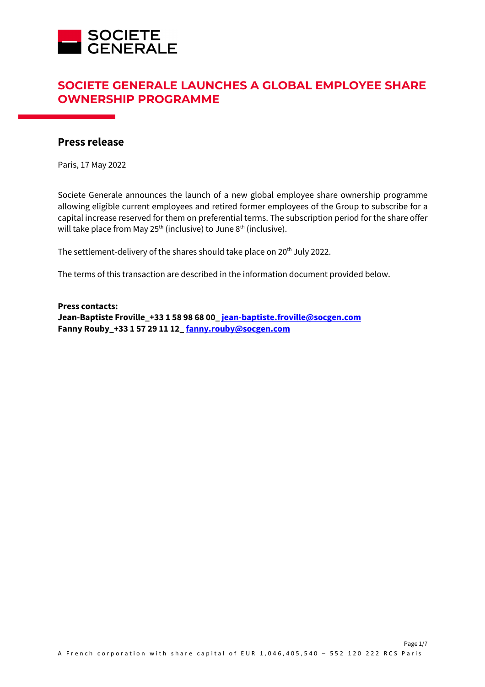

# **SOCIETE GENERALE LAUNCHES A GLOBAL EMPLOYEE SHARE OWNERSHIP PROGRAMME**

# **Press release**

Paris, 17 May 2022

Societe Generale announces the launch of a new global employee share ownership programme allowing eligible current employees and retired former employees of the Group to subscribe for a capital increase reserved for them on preferential terms. The subscription period for the share offer will take place from May  $25<sup>th</sup>$  (inclusive) to June  $8<sup>th</sup>$  (inclusive).

The settlement-delivery of the shares should take place on 20<sup>th</sup> July 2022.

The terms of this transaction are described in the information document provided below.

**Press contacts: Jean-Baptiste Froville\_+33 1 58 98 68 00\_ jean-baptiste.froville@socgen.com Fanny Rouby\_+33 1 57 29 11 12\_ fanny.rouby@socgen.com**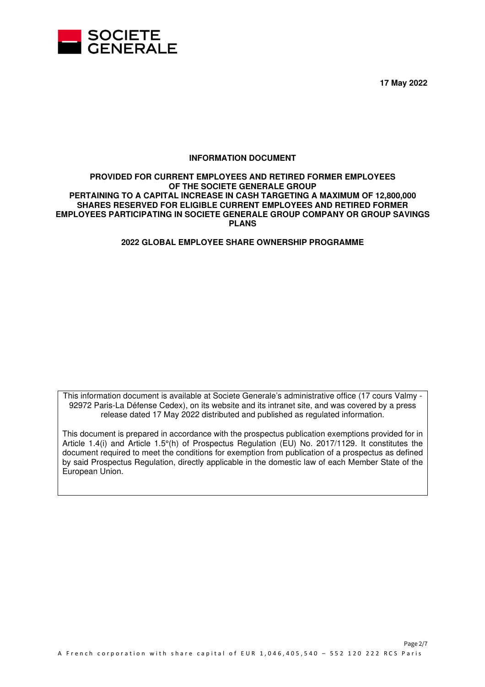

**17 May 2022** 

## **INFORMATION DOCUMENT**

## **PROVIDED FOR CURRENT EMPLOYEES AND RETIRED FORMER EMPLOYEES OF THE SOCIETE GENERALE GROUP PERTAINING TO A CAPITAL INCREASE IN CASH TARGETING A MAXIMUM OF 12,800,000 SHARES RESERVED FOR ELIGIBLE CURRENT EMPLOYEES AND RETIRED FORMER EMPLOYEES PARTICIPATING IN SOCIETE GENERALE GROUP COMPANY OR GROUP SAVINGS PLANS**

## **2022 GLOBAL EMPLOYEE SHARE OWNERSHIP PROGRAMME**

This information document is available at Societe Generale's administrative office (17 cours Valmy - 92972 Paris-La Défense Cedex), on its website and its intranet site, and was covered by a press release dated 17 May 2022 distributed and published as regulated information.

This document is prepared in accordance with the prospectus publication exemptions provided for in Article 1.4(i) and Article 1.5°(h) of Prospectus Regulation (EU) No. 2017/1129. It constitutes the document required to meet the conditions for exemption from publication of a prospectus as defined by said Prospectus Regulation, directly applicable in the domestic law of each Member State of the European Union.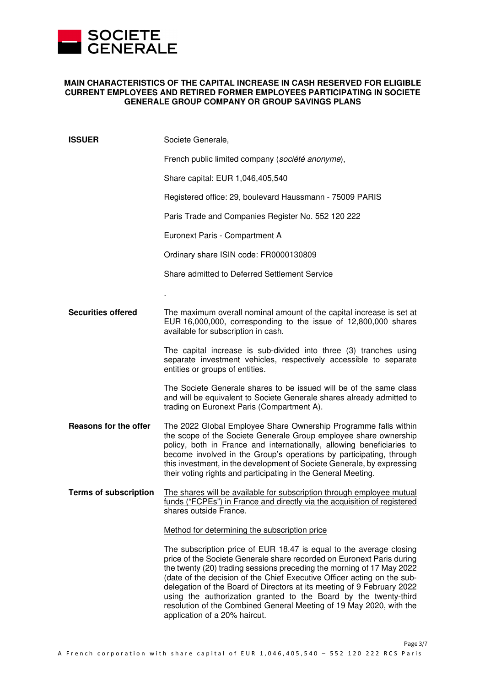

## **MAIN CHARACTERISTICS OF THE CAPITAL INCREASE IN CASH RESERVED FOR ELIGIBLE CURRENT EMPLOYEES AND RETIRED FORMER EMPLOYEES PARTICIPATING IN SOCIETE GENERALE GROUP COMPANY OR GROUP SAVINGS PLANS**

| <b>ISSUER</b>                | Societe Generale,                                                                                                                                                                                                                                                                                                                                                                                                                                                                                                                                      |
|------------------------------|--------------------------------------------------------------------------------------------------------------------------------------------------------------------------------------------------------------------------------------------------------------------------------------------------------------------------------------------------------------------------------------------------------------------------------------------------------------------------------------------------------------------------------------------------------|
|                              | French public limited company (société anonyme),                                                                                                                                                                                                                                                                                                                                                                                                                                                                                                       |
|                              | Share capital: EUR 1,046,405,540                                                                                                                                                                                                                                                                                                                                                                                                                                                                                                                       |
|                              | Registered office: 29, boulevard Haussmann - 75009 PARIS                                                                                                                                                                                                                                                                                                                                                                                                                                                                                               |
|                              | Paris Trade and Companies Register No. 552 120 222                                                                                                                                                                                                                                                                                                                                                                                                                                                                                                     |
|                              | Euronext Paris - Compartment A                                                                                                                                                                                                                                                                                                                                                                                                                                                                                                                         |
|                              | Ordinary share ISIN code: FR0000130809                                                                                                                                                                                                                                                                                                                                                                                                                                                                                                                 |
|                              | Share admitted to Deferred Settlement Service                                                                                                                                                                                                                                                                                                                                                                                                                                                                                                          |
|                              |                                                                                                                                                                                                                                                                                                                                                                                                                                                                                                                                                        |
| <b>Securities offered</b>    | The maximum overall nominal amount of the capital increase is set at<br>EUR 16,000,000, corresponding to the issue of 12,800,000 shares<br>available for subscription in cash.                                                                                                                                                                                                                                                                                                                                                                         |
|                              | The capital increase is sub-divided into three (3) tranches using<br>separate investment vehicles, respectively accessible to separate<br>entities or groups of entities.                                                                                                                                                                                                                                                                                                                                                                              |
|                              | The Societe Generale shares to be issued will be of the same class<br>and will be equivalent to Societe Generale shares already admitted to<br>trading on Euronext Paris (Compartment A).                                                                                                                                                                                                                                                                                                                                                              |
| Reasons for the offer        | The 2022 Global Employee Share Ownership Programme falls within<br>the scope of the Societe Generale Group employee share ownership<br>policy, both in France and internationally, allowing beneficiaries to<br>become involved in the Group's operations by participating, through<br>this investment, in the development of Societe Generale, by expressing<br>their voting rights and participating in the General Meeting.                                                                                                                         |
| <b>Terms of subscription</b> | The shares will be available for subscription through employee mutual<br><u>funds ("FCPEs") in France and directly via the acquisition of registered</u><br>shares outside France.                                                                                                                                                                                                                                                                                                                                                                     |
|                              | Method for determining the subscription price                                                                                                                                                                                                                                                                                                                                                                                                                                                                                                          |
|                              | The subscription price of EUR 18.47 is equal to the average closing<br>price of the Societe Generale share recorded on Euronext Paris during<br>the twenty (20) trading sessions preceding the morning of 17 May 2022<br>(date of the decision of the Chief Executive Officer acting on the sub-<br>delegation of the Board of Directors at its meeting of 9 February 2022<br>using the authorization granted to the Board by the twenty-third<br>resolution of the Combined General Meeting of 19 May 2020, with the<br>application of a 20% haircut. |

Page 3/7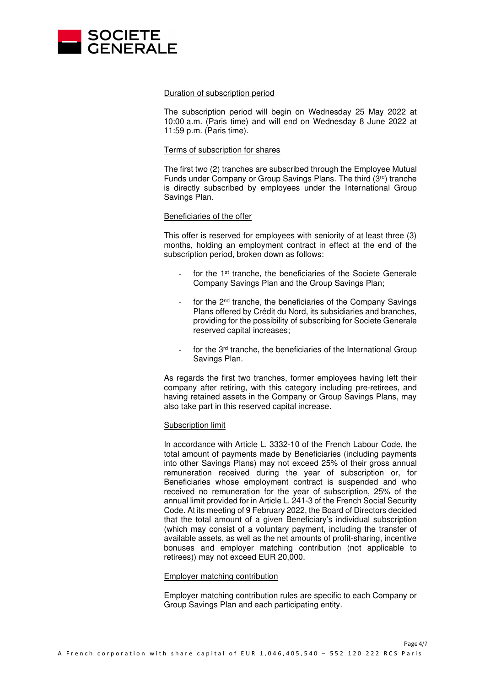

### Duration of subscription period

The subscription period will begin on Wednesday 25 May 2022 at 10:00 a.m. (Paris time) and will end on Wednesday 8 June 2022 at 11:59 p.m. (Paris time).

#### Terms of subscription for shares

The first two (2) tranches are subscribed through the Employee Mutual Funds under Company or Group Savings Plans. The third (3rd) tranche is directly subscribed by employees under the International Group Savings Plan.

#### Beneficiaries of the offer

This offer is reserved for employees with seniority of at least three (3) months, holding an employment contract in effect at the end of the subscription period, broken down as follows:

- for the 1<sup>st</sup> tranche, the beneficiaries of the Societe Generale Company Savings Plan and the Group Savings Plan;
- for the 2<sup>nd</sup> tranche, the beneficiaries of the Company Savings Plans offered by Crédit du Nord, its subsidiaries and branches, providing for the possibility of subscribing for Societe Generale reserved capital increases;
- for the 3<sup>rd</sup> tranche, the beneficiaries of the International Group Savings Plan.

As regards the first two tranches, former employees having left their company after retiring, with this category including pre-retirees, and having retained assets in the Company or Group Savings Plans, may also take part in this reserved capital increase.

## Subscription limit

In accordance with Article L. 3332-10 of the French Labour Code, the total amount of payments made by Beneficiaries (including payments into other Savings Plans) may not exceed 25% of their gross annual remuneration received during the year of subscription or, for Beneficiaries whose employment contract is suspended and who received no remuneration for the year of subscription, 25% of the annual limit provided for in Article L. 241-3 of the French Social Security Code. At its meeting of 9 February 2022, the Board of Directors decided that the total amount of a given Beneficiary's individual subscription (which may consist of a voluntary payment, including the transfer of available assets, as well as the net amounts of profit-sharing, incentive bonuses and employer matching contribution (not applicable to retirees)) may not exceed EUR 20,000.

#### Employer matching contribution

Employer matching contribution rules are specific to each Company or Group Savings Plan and each participating entity.

Page 4/7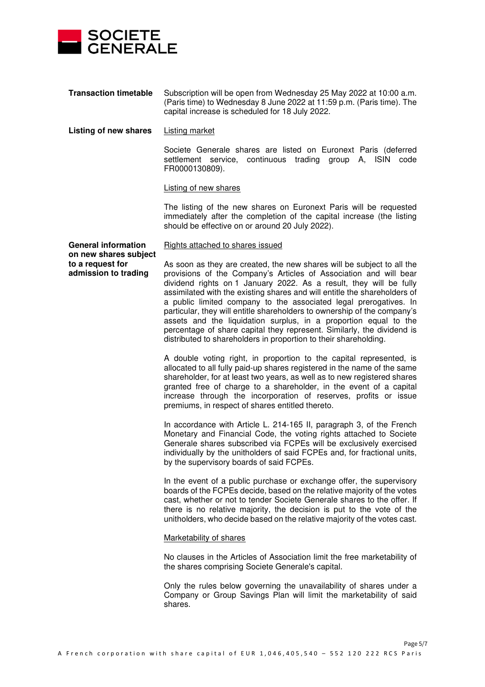

**Transaction timetable** Subscription will be open from Wednesday 25 May 2022 at 10:00 a.m. (Paris time) to Wednesday 8 June 2022 at 11:59 p.m. (Paris time). The capital increase is scheduled for 18 July 2022.

#### **Listing of new shares** Listing market

Societe Generale shares are listed on Euronext Paris (deferred settlement service, continuous trading group A, ISIN code FR0000130809).

### Listing of new shares

The listing of the new shares on Euronext Paris will be requested immediately after the completion of the capital increase (the listing should be effective on or around 20 July 2022).

#### Rights attached to shares issued

**General information on new shares subject to a request for admission to trading** 

As soon as they are created, the new shares will be subject to all the provisions of the Company's Articles of Association and will bear dividend rights on 1 January 2022. As a result, they will be fully assimilated with the existing shares and will entitle the shareholders of a public limited company to the associated legal prerogatives. In particular, they will entitle shareholders to ownership of the company's assets and the liquidation surplus, in a proportion equal to the percentage of share capital they represent. Similarly, the dividend is distributed to shareholders in proportion to their shareholding.

A double voting right, in proportion to the capital represented, is allocated to all fully paid-up shares registered in the name of the same shareholder, for at least two years, as well as to new registered shares granted free of charge to a shareholder, in the event of a capital increase through the incorporation of reserves, profits or issue premiums, in respect of shares entitled thereto.

In accordance with Article L. 214-165 II, paragraph 3, of the French Monetary and Financial Code, the voting rights attached to Societe Generale shares subscribed via FCPEs will be exclusively exercised individually by the unitholders of said FCPEs and, for fractional units, by the supervisory boards of said FCPEs.

In the event of a public purchase or exchange offer, the supervisory boards of the FCPEs decide, based on the relative majority of the votes cast, whether or not to tender Societe Generale shares to the offer. If there is no relative majority, the decision is put to the vote of the unitholders, who decide based on the relative majority of the votes cast.

## Marketability of shares

No clauses in the Articles of Association limit the free marketability of the shares comprising Societe Generale's capital.

Only the rules below governing the unavailability of shares under a Company or Group Savings Plan will limit the marketability of said shares.

Page 5/7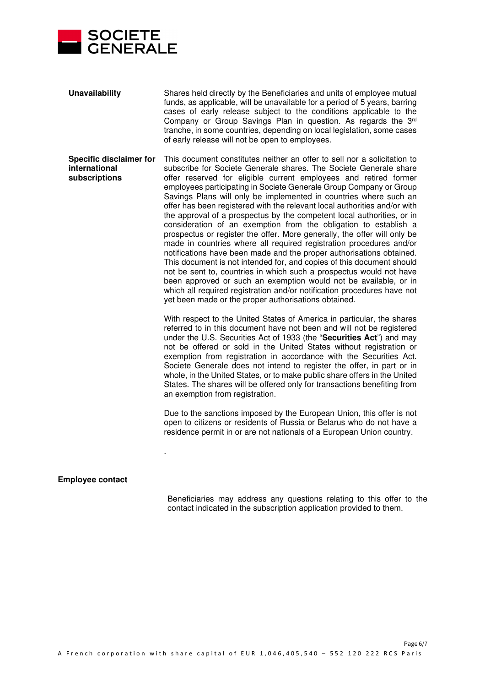

| <b>Unavailability</b>                                            | Shares held directly by the Beneficiaries and units of employee mutual<br>funds, as applicable, will be unavailable for a period of 5 years, barring<br>cases of early release subject to the conditions applicable to the<br>Company or Group Savings Plan in question. As regards the 3rd<br>tranche, in some countries, depending on local legislation, some cases<br>of early release will not be open to employees.                                                                                                                                                                                                                                                                                                                                                                                                                                                                                                                                                                                                                                                                                                                                                  |
|------------------------------------------------------------------|---------------------------------------------------------------------------------------------------------------------------------------------------------------------------------------------------------------------------------------------------------------------------------------------------------------------------------------------------------------------------------------------------------------------------------------------------------------------------------------------------------------------------------------------------------------------------------------------------------------------------------------------------------------------------------------------------------------------------------------------------------------------------------------------------------------------------------------------------------------------------------------------------------------------------------------------------------------------------------------------------------------------------------------------------------------------------------------------------------------------------------------------------------------------------|
| <b>Specific disclaimer for</b><br>international<br>subscriptions | This document constitutes neither an offer to sell nor a solicitation to<br>subscribe for Societe Generale shares. The Societe Generale share<br>offer reserved for eligible current employees and retired former<br>employees participating in Societe Generale Group Company or Group<br>Savings Plans will only be implemented in countries where such an<br>offer has been registered with the relevant local authorities and/or with<br>the approval of a prospectus by the competent local authorities, or in<br>consideration of an exemption from the obligation to establish a<br>prospectus or register the offer. More generally, the offer will only be<br>made in countries where all required registration procedures and/or<br>notifications have been made and the proper authorisations obtained.<br>This document is not intended for, and copies of this document should<br>not be sent to, countries in which such a prospectus would not have<br>been approved or such an exemption would not be available, or in<br>which all required registration and/or notification procedures have not<br>yet been made or the proper authorisations obtained. |
|                                                                  | With respect to the United States of America in particular, the shares<br>referred to in this document have not been and will not be registered<br>under the U.S. Securities Act of 1933 (the "Securities Act") and may<br>not be offered or sold in the United States without registration or<br>exemption from registration in accordance with the Securities Act.<br>Societe Generale does not intend to register the offer, in part or in<br>whole, in the United States, or to make public share offers in the United<br>States. The shares will be offered only for transactions benefiting from<br>an exemption from registration.                                                                                                                                                                                                                                                                                                                                                                                                                                                                                                                                 |
|                                                                  | Due to the sanctions imposed by the European Union, this offer is not<br>open to citizens or residents of Russia or Belarus who do not have a<br>residence permit in or are not nationals of a European Union country.                                                                                                                                                                                                                                                                                                                                                                                                                                                                                                                                                                                                                                                                                                                                                                                                                                                                                                                                                    |

## **Employee contact**

.

Beneficiaries may address any questions relating to this offer to the contact indicated in the subscription application provided to them.